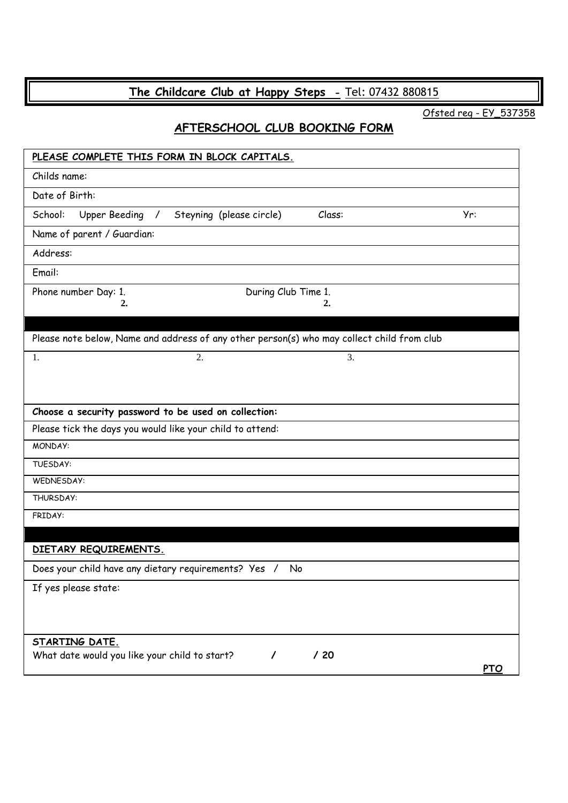## **The Childcare Club at Happy Steps -** [Tel: 0](tel:07557)7432 880815

Ofsted reg - EY\_537358

## **AFTERSCHOOL CLUB BOOKING FORM**

| PLEASE COMPLETE THIS FORM IN BLOCK CAPITALS.                                               |            |  |  |
|--------------------------------------------------------------------------------------------|------------|--|--|
| Childs name:                                                                               |            |  |  |
| Date of Birth:                                                                             |            |  |  |
| Steyning (please circle)<br>School:<br>Upper Beeding /<br>Class:                           | Yr:        |  |  |
| Name of parent / Guardian:                                                                 |            |  |  |
| Address:                                                                                   |            |  |  |
| Email:                                                                                     |            |  |  |
| Phone number Day: 1.<br>During Club Time 1.<br>2.<br>2.                                    |            |  |  |
| Please note below, Name and address of any other person(s) who may collect child from club |            |  |  |
| 3.<br>1.<br>2.                                                                             |            |  |  |
|                                                                                            |            |  |  |
| Choose a security password to be used on collection:                                       |            |  |  |
| Please tick the days you would like your child to attend:                                  |            |  |  |
| MONDAY:                                                                                    |            |  |  |
| TUESDAY:                                                                                   |            |  |  |
| WEDNESDAY:                                                                                 |            |  |  |
| THURSDAY:                                                                                  |            |  |  |
| FRIDAY:                                                                                    |            |  |  |
| DIETARY REQUIREMENTS.                                                                      |            |  |  |
|                                                                                            |            |  |  |
| Does your child have any dietary requirements? Yes /<br>No                                 |            |  |  |
| If yes please state:                                                                       |            |  |  |
|                                                                                            |            |  |  |
| STARTING DATE.                                                                             |            |  |  |
| What date would you like your child to start?<br>$\prime$<br>/20                           | <b>PTO</b> |  |  |